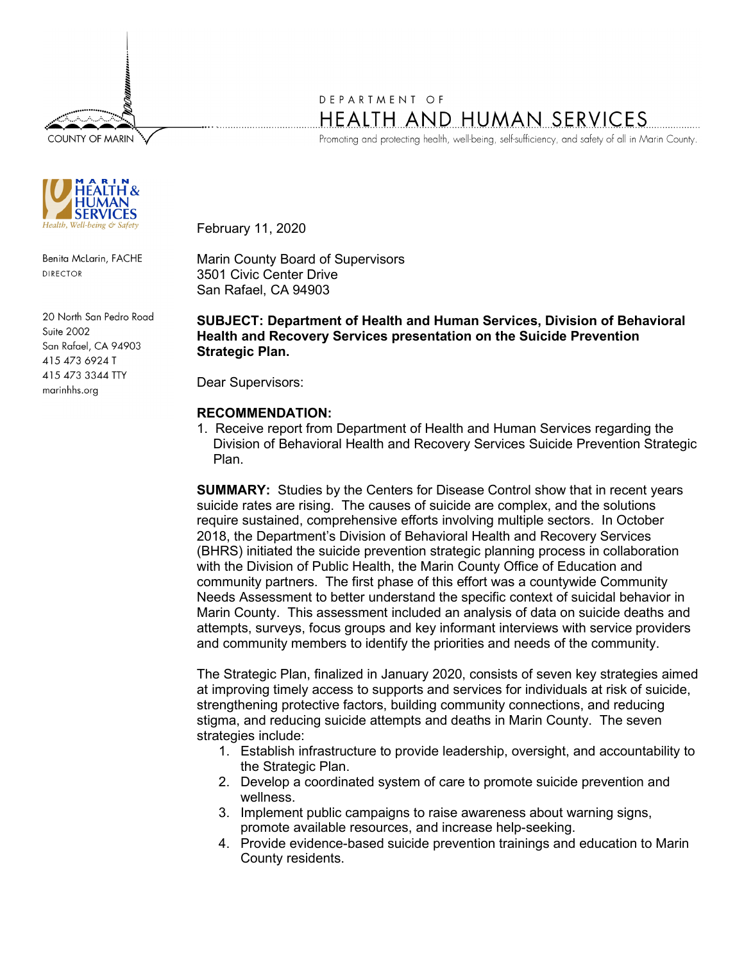**COUNTY OF MARIN** 



Benita McLarin, FACHE **DIRECTOR** 

20 North San Pedro Road **Suite 2002** San Rafael, CA 94903 415 473 6924 T 415 473 3344 TTY marinhhs.org

## DEPARTMENT OF HEALTH AND HUMAN SERVICES

Promoting and protecting health, well-being, self-sufficiency, and safety of all in Marin County.

February 11, 2020

Marin County Board of Supervisors 3501 Civic Center Drive San Rafael, CA 94903

**SUBJECT: Department of Health and Human Services, Division of Behavioral Health and Recovery Services presentation on the Suicide Prevention Strategic Plan.** 

Dear Supervisors:

## **RECOMMENDATION:**

1. Receive report from Department of Health and Human Services regarding the Division of Behavioral Health and Recovery Services Suicide Prevention Strategic Plan.

**SUMMARY:** Studies by the Centers for Disease Control show that in recent years suicide rates are rising. The causes of suicide are complex, and the solutions require sustained, comprehensive efforts involving multiple sectors. In October 2018, the Department's Division of Behavioral Health and Recovery Services (BHRS) initiated the suicide prevention strategic planning process in collaboration with the Division of Public Health, the Marin County Office of Education and community partners. The first phase of this effort was a countywide Community Needs Assessment to better understand the specific context of suicidal behavior in Marin County. This assessment included an analysis of data on suicide deaths and attempts, surveys, focus groups and key informant interviews with service providers and community members to identify the priorities and needs of the community.

The Strategic Plan, finalized in January 2020, consists of seven key strategies aimed at improving timely access to supports and services for individuals at risk of suicide, strengthening protective factors, building community connections, and reducing stigma, and reducing suicide attempts and deaths in Marin County. The seven strategies include:

- 1. Establish infrastructure to provide leadership, oversight, and accountability to the Strategic Plan.
- 2. Develop a coordinated system of care to promote suicide prevention and wellness.
- 3. Implement public campaigns to raise awareness about warning signs, promote available resources, and increase help-seeking.
- 4. Provide evidence-based suicide prevention trainings and education to Marin County residents.